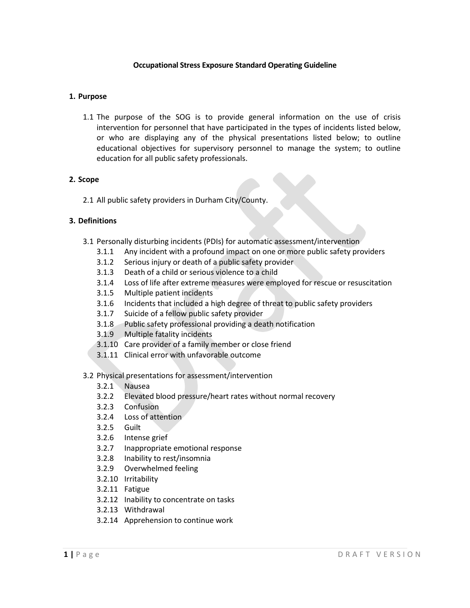## **Occupational Stress Exposure Standard Operating Guideline**

## **1. Purpose**

1.1 The purpose of the SOG is to provide general information on the use of crisis intervention for personnel that have participated in the types of incidents listed below, or who are displaying any of the physical presentations listed below; to outline educational objectives for supervisory personnel to manage the system; to outline education for all public safety professionals.

## **2. Scope**

2.1 All public safety providers in Durham City/County.

# **3. Definitions**

- 3.1 Personally disturbing incidents (PDIs) for automatic assessment/intervention
	- 3.1.1 Any incident with a profound impact on one or more public safety providers
	- 3.1.2 Serious injury or death of a public safety provider
	- 3.1.3 Death of a child or serious violence to a child
	- 3.1.4 Loss of life after extreme measures were employed for rescue or resuscitation
	- 3.1.5 Multiple patient incidents
	- 3.1.6 Incidents that included a high degree of threat to public safety providers
	- 3.1.7 Suicide of a fellow public safety provider
	- 3.1.8 Public safety professional providing a death notification
	- 3.1.9 Multiple fatality incidents
	- 3.1.10 Care provider of a family member or close friend
	- 3.1.11 Clinical error with unfavorable outcome

## 3.2 Physical presentations for assessment/intervention

- 3.2.1 Nausea
- 3.2.2 Elevated blood pressure/heart rates without normal recovery
- 3.2.3 Confusion
- 3.2.4 Loss of attention
- 3.2.5 Guilt
- 3.2.6 Intense grief
- 3.2.7 Inappropriate emotional response
- 3.2.8 Inability to rest/insomnia
- 3.2.9 Overwhelmed feeling
- 3.2.10 Irritability
- 3.2.11 Fatigue
- 3.2.12 Inability to concentrate on tasks
- 3.2.13 Withdrawal
- 3.2.14 Apprehension to continue work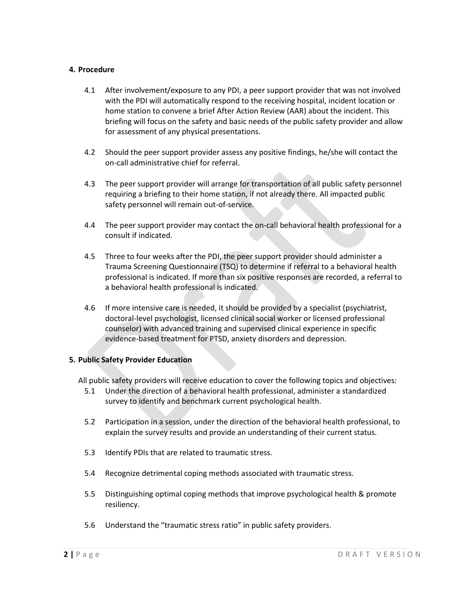## **4. Procedure**

- 4.1 After involvement/exposure to any PDI, a peer support provider that was not involved with the PDI will automatically respond to the receiving hospital, incident location or home station to convene a brief After Action Review (AAR) about the incident. This briefing will focus on the safety and basic needs of the public safety provider and allow for assessment of any physical presentations.
- 4.2 Should the peer support provider assess any positive findings, he/she will contact the on-call administrative chief for referral.
- 4.3 The peer support provider will arrange for transportation of all public safety personnel requiring a briefing to their home station, if not already there. All impacted public safety personnel will remain out-of-service.
- 4.4 The peer support provider may contact the on-call behavioral health professional for a consult if indicated.
- 4.5 Three to four weeks after the PDI, the peer support provider should administer a Trauma Screening Questionnaire (TSQ) to determine if referral to a behavioral health professional is indicated. If more than six positive responses are recorded, a referral to a behavioral health professional is indicated.
- 4.6 If more intensive care is needed, it should be provided by a specialist (psychiatrist, doctoral-level psychologist, licensed clinical social worker or licensed professional counselor) with advanced training and supervised clinical experience in specific evidence-based treatment for PTSD, anxiety disorders and depression.

# **5. Public Safety Provider Education**

All public safety providers will receive education to cover the following topics and objectives:

- 5.1 Under the direction of a behavioral health professional, administer a standardized survey to identify and benchmark current psychological health.
- 5.2 Participation in a session, under the direction of the behavioral health professional, to explain the survey results and provide an understanding of their current status.
- 5.3 Identify PDIs that are related to traumatic stress.
- 5.4 Recognize detrimental coping methods associated with traumatic stress.
- 5.5 Distinguishing optimal coping methods that improve psychological health & promote resiliency.
- 5.6 Understand the "traumatic stress ratio" in public safety providers.